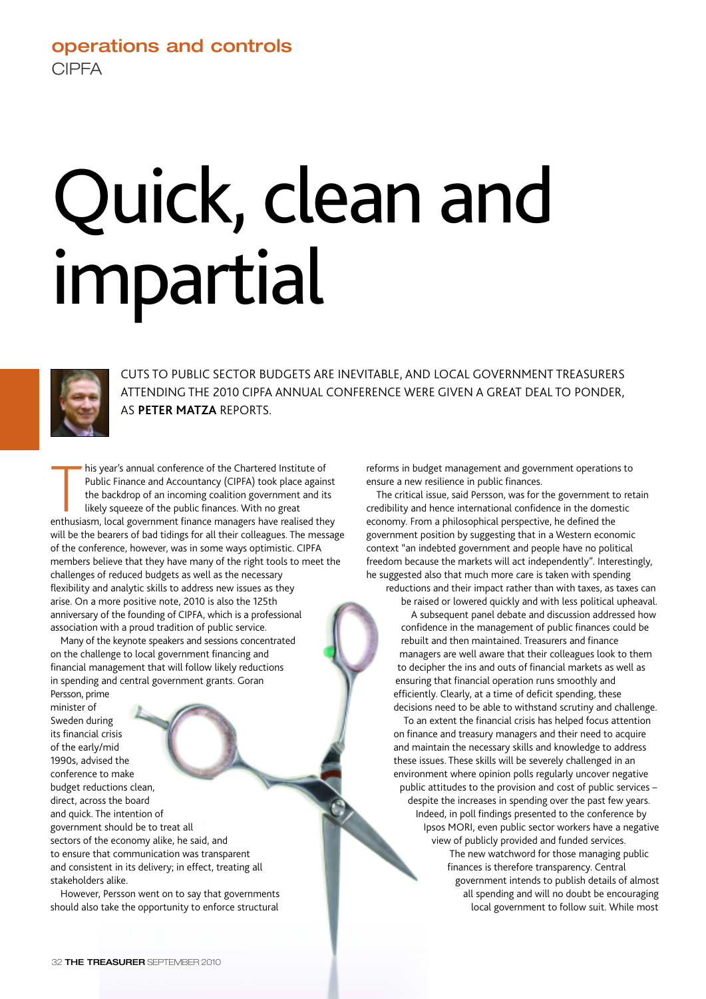## **operations and controls CIPFA**

# Quick, clean and impartial



CUTS TO PUBLIC SECTOR BUDGETS ARE INEVITABLE, AND LOCAL GOVERNMENT TREASURERS ATTENDING THE 2010 CIPFA ANNUAL CONFERENCE WERE GIVEN A GREAT DEAL TO PONDER, AS **PETER MATZA** REPORTS.

his year's annual conference of the Chartered Institute of<br>
Public Finance and Accountancy (CIPFA) took place against<br>
the backdrop of an incoming coalition government and its<br>
likely squeeze of the public finances. With n his year's annual conference of the Chartered Institute of Public Finance and Accountancy (CIPFA) took place against the backdrop of an incoming coalition government and its likely squeeze of the public finances. With no great will be the bearers of bad tidings for all their colleagues. The message of the conference, however, was in some ways optimistic. CIPFA members believe that they have many of the right tools to meet the challenges of reduced budgets as well as the necessary flexibility and analytic skills to address new issues as they arise. On a more positive note, 2010 is also the 125th anniversary of the founding of CIPFA, which is a professional association with a proud tradition of public service.

Many of the keynote speakers and sessions concentrated on the challenge to local government financing and financial management that will follow likely reductions in spending and central government grants. Goran Persson, prime

minister of Sweden during its financial crisis of the early/mid 1990s, advised the conference to make budget reductions clean, direct, across the board and quick. The intention of government should be to treat all sectors of the economy alike, he said, and to ensure that communication was transparent and consistent in its delivery; in effect, treating all stakeholders alike.

However, Persson went on to say that governments should also take the opportunity to enforce structural

reforms in budget management and government operations to ensure a new resilience in public finances.

The critical issue, said Persson, was for the government to retain credibility and hence international confidence in the domestic economy. From a philosophical perspective, he defined the government position by suggesting that in a Western economic context "an indebted government and people have no political freedom because the markets will act independently". Interestingly, he suggested also that much more care is taken with spending reductions and their impact rather than with taxes, as taxes can

be raised or lowered quickly and with less political upheaval. A subsequent panel debate and discussion addressed how confidence in the management of public finances could be rebuilt and then maintained. Treasurers and finance managers are well aware that their colleagues look to them to decipher the ins and outs of financial markets as well as ensuring that financial operation runs smoothly and efficiently. Clearly, at a time of deficit spending, these decisions need to be able to withstand scrutiny and challenge.

To an extent the financial crisis has helped focus attention on finance and treasury managers and their need to acquire and maintain the necessary skills and knowledge to address these issues. These skills will be severely challenged in an environment where opinion polls regularly uncover negative public attitudes to the provision and cost of public services – despite the increases in spending over the past few years. Indeed, in poll findings presented to the conference by Ipsos MORI, even public sector workers have a negative view of publicly provided and funded services. The new watchword for those managing public finances is therefore transparency. Central government intends to publish details of almost all spending and will no doubt be encouraging local government to follow suit. While most